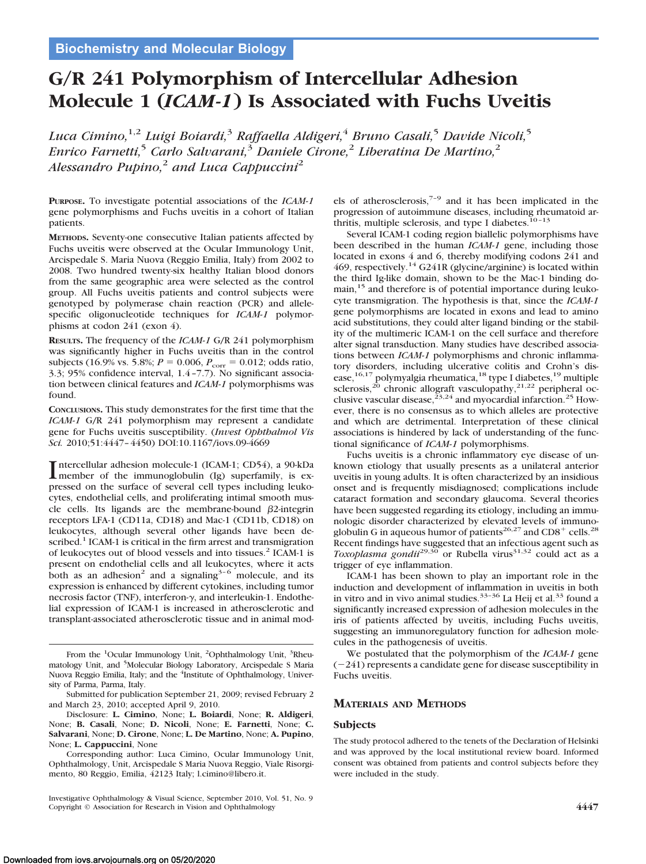# **G/R 241 Polymorphism of Intercellular Adhesion Molecule 1 (***ICAM-1***) Is Associated with Fuchs Uveitis**

*Luca Cimino,*1,2 *Luigi Boiardi,*<sup>3</sup> *Raffaella Aldigeri,*<sup>4</sup> *Bruno Casali,*<sup>5</sup> *Davide Nicoli,*<sup>5</sup> *Enrico Farnetti,*<sup>5</sup> *Carlo Salvarani,*<sup>3</sup> *Daniele Cirone,*<sup>2</sup> *Liberatina De Martino,*<sup>2</sup> *Alessandro Pupino,*<sup>2</sup> *and Luca Cappuccini*<sup>2</sup>

**PURPOSE.** To investigate potential associations of the *ICAM-1* gene polymorphisms and Fuchs uveitis in a cohort of Italian patients.

**METHODS.** Seventy-one consecutive Italian patients affected by Fuchs uveitis were observed at the Ocular Immunology Unit, Arcispedale S. Maria Nuova (Reggio Emilia, Italy) from 2002 to 2008. Two hundred twenty-six healthy Italian blood donors from the same geographic area were selected as the control group. All Fuchs uveitis patients and control subjects were genotyped by polymerase chain reaction (PCR) and allelespecific oligonucleotide techniques for *ICAM-1* polymorphisms at codon 241 (exon 4).

**RESULTS.** The frequency of the *ICAM-1* G/R 241 polymorphism was significantly higher in Fuchs uveitis than in the control subjects (16.9% vs. 5.8%; *P* = 0.006, *P*<sub>corr</sub> = 0.012; odds ratio, 3.3; 95% confidence interval, 1.4 –7.7). No significant association between clinical features and *ICAM-1* polymorphisms was found.

**CONCLUSIONS.** This study demonstrates for the first time that the *ICAM-1* G/R 241 polymorphism may represent a candidate gene for Fuchs uveitis susceptibility. (*Invest Ophthalmol Vis Sci.* 2010;51:4447– 4450) DOI:10.1167/iovs.09-4669

Intercellular adhesion molecule-1 (ICAM-1; CD54), a 90-kDa<br>member of the immunoglobulin (Ig) superfamily, is exmember of the immunoglobulin (Ig) superfamily, is expressed on the surface of several cell types including leukocytes, endothelial cells, and proliferating intimal smooth muscle cells. Its ligands are the membrane-bound  $\beta$ 2-integrin receptors LFA-1 (CD11a, CD18) and Mac-1 (CD11b, CD18) on leukocytes, although several other ligands have been described.<sup>1</sup> ICAM-1 is critical in the firm arrest and transmigration of leukocytes out of blood vessels and into tissues.<sup>2</sup> ICAM-1 is present on endothelial cells and all leukocytes, where it acts both as an adhesion<sup>2</sup> and a signaling<sup>3-6</sup> molecule, and its expression is enhanced by different cytokines, including tumor necrosis factor (TNF), interferon- $\gamma$ , and interleukin-1. Endothelial expression of ICAM-1 is increased in atherosclerotic and transplant-associated atherosclerotic tissue and in animal mod-

els of atherosclerosis, $7-9$  and it has been implicated in the progression of autoimmune diseases, including rheumatoid arthritis, multiple sclerosis, and type I diabetes.<sup>10-13</sup>

Several ICAM-1 coding region biallelic polymorphisms have been described in the human *ICAM-1* gene, including those located in exons 4 and 6, thereby modifying codons 241 and 469, respectively.<sup>14</sup> G241R (glycine/arginine) is located within the third Ig-like domain, shown to be the Mac-1 binding domain,<sup>15</sup> and therefore is of potential importance during leukocyte transmigration. The hypothesis is that, since the *ICAM-1* gene polymorphisms are located in exons and lead to amino acid substitutions, they could alter ligand binding or the stability of the multimeric ICAM-1 on the cell surface and therefore alter signal transduction. Many studies have described associations between *ICAM-1* polymorphisms and chronic inflammatory disorders, including ulcerative colitis and Crohn's disease,<sup>16,17</sup> polymyalgia rheumatica,<sup>18</sup> type I diabetes,<sup>19</sup> multiple sclerosis,<sup>20</sup> chronic allograft vasculopathy,<sup>21,22</sup> peripheral occlusive vascular disease,  $^{23,24}$  and myocardial infarction.<sup>25</sup> However, there is no consensus as to which alleles are protective and which are detrimental. Interpretation of these clinical associations is hindered by lack of understanding of the functional significance of *ICAM-1* polymorphisms.

Fuchs uveitis is a chronic inflammatory eye disease of unknown etiology that usually presents as a unilateral anterior uveitis in young adults. It is often characterized by an insidious onset and is frequently misdiagnosed; complications include cataract formation and secondary glaucoma. Several theories have been suggested regarding its etiology, including an immunologic disorder characterized by elevated levels of immunoglobulin G in aqueous humor of patients<sup>26,27</sup> and  $CD8^+$  cells.<sup>28</sup> Recent findings have suggested that an infectious agent such as *Toxoplasma gondii*<sup>29,30</sup> or Rubella virus<sup>31,32</sup> could act as a trigger of eye inflammation.

ICAM-1 has been shown to play an important role in the induction and development of inflammation in uveitis in both in vitro and in vivo animal studies. $33-36$  La Heij et al. $33$  found a significantly increased expression of adhesion molecules in the iris of patients affected by uveitis, including Fuchs uveitis, suggesting an immunoregulatory function for adhesion molecules in the pathogenesis of uveitis.

We postulated that the polymorphism of the *ICAM-1* gene  $(-241)$  represents a candidate gene for disease susceptibility in Fuchs uveitis.

## **MATERIALS AND METHODS**

#### **Subjects**

The study protocol adhered to the tenets of the Declaration of Helsinki and was approved by the local institutional review board. Informed consent was obtained from patients and control subjects before they were included in the study.

From the <sup>1</sup>Ocular Immunology Unit, <sup>2</sup>Ophthalmology Unit, <sup>3</sup>Rheumatology Unit, and <sup>5</sup>Molecular Biology Laboratory, Arcispedale S Maria Nuova Reggio Emilia, Italy; and the <sup>4</sup>Institute of Ophthalmology, University of Parma, Parma, Italy.

Submitted for publication September 21, 2009; revised February 2 and March 23, 2010; accepted April 9, 2010.

Disclosure: **L. Cimino**, None; **L. Boiardi**, None; **R. Aldigeri**, None; **B. Casali**, None; **D. Nicoli**, None; **E. Farnetti**, None; **C. Salvarani**, None; **D. Cirone**, None; **L. De Martino**, None; **A. Pupino**, None; **L. Cappuccini**, None

Corresponding author: Luca Cimino, Ocular Immunology Unit, Ophthalmology, Unit, Arcispedale S Maria Nuova Reggio, Viale Risorgimento, 80 Reggio, Emilia, 42123 Italy; l.cimino@libero.it.

Investigative Ophthalmology & Visual Science, September 2010, Vol. 51, No. 9 Copyright © Association for Research in Vision and Ophthalmology **4447**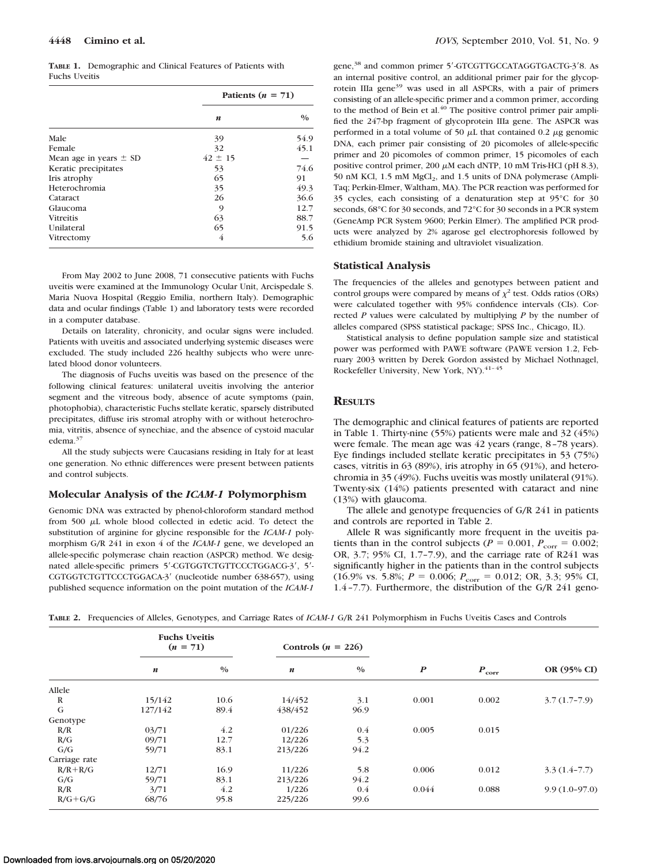**TABLE 1.** Demographic and Clinical Features of Patients with Fuchs Uveitis

|                            | Patients $(n = 71)$ |               |  |  |
|----------------------------|---------------------|---------------|--|--|
|                            | n                   | $\frac{0}{0}$ |  |  |
| Male                       | 39                  | 54.9          |  |  |
| Female                     | 32                  | 45.1          |  |  |
| Mean age in years $\pm$ SD | $42 \pm 15$         |               |  |  |
| Keratic precipitates       | 53                  | 74.6          |  |  |
| Iris atrophy               | 65                  | 91            |  |  |
| Heterochromia              | 35                  | 49.3          |  |  |
| Cataract                   | 26                  | 36.6          |  |  |
| Glaucoma                   | 9                   | 12.7          |  |  |
| <b>Vitreitis</b>           | 63                  | 88.7          |  |  |
| Unilateral                 | 65                  | 91.5          |  |  |
| Vitrectomy                 | 4                   | 5.6           |  |  |

From May 2002 to June 2008, 71 consecutive patients with Fuchs uveitis were examined at the Immunology Ocular Unit, Arcispedale S. Maria Nuova Hospital (Reggio Emilia, northern Italy). Demographic data and ocular findings (Table 1) and laboratory tests were recorded in a computer database.

Details on laterality, chronicity, and ocular signs were included. Patients with uveitis and associated underlying systemic diseases were excluded. The study included 226 healthy subjects who were unrelated blood donor volunteers.

The diagnosis of Fuchs uveitis was based on the presence of the following clinical features: unilateral uveitis involving the anterior segment and the vitreous body, absence of acute symptoms (pain, photophobia), characteristic Fuchs stellate keratic, sparsely distributed precipitates, diffuse iris stromal atrophy with or without heterochromia, vitritis, absence of synechiae, and the absence of cystoid macular edema.37

All the study subjects were Caucasians residing in Italy for at least one generation. No ethnic differences were present between patients and control subjects.

#### **Molecular Analysis of the** *ICAM-1* **Polymorphism**

Genomic DNA was extracted by phenol-chloroform standard method from 500  $\mu$ L whole blood collected in edetic acid. To detect the substitution of arginine for glycine responsible for the *ICAM-1* polymorphism G/R 241 in exon 4 of the *ICAM-1* gene, we developed an allele-specific polymerase chain reaction (ASPCR) method. We designated allele-specific primers 5'-CGTGGTCTGTTCCCTGGACG-3', 5'-CGTGGTCTGTTCCCTGGACA-3' (nucleotide number 638-657), using published sequence information on the point mutation of the *ICAM-1*

gene,<sup>38</sup> and common primer 5'-GTCGTTGCCATAGGTGACTG-3'8. As an internal positive control, an additional primer pair for the glycoprotein IIIa gene<sup>39</sup> was used in all ASPCRs, with a pair of primers consisting of an allele-specific primer and a common primer, according to the method of Bein et al.<sup>40</sup> The positive control primer pair amplified the 247-bp fragment of glycoprotein IIIa gene. The ASPCR was performed in a total volume of 50  $\mu$ L that contained 0.2  $\mu$ g genomic DNA, each primer pair consisting of 20 picomoles of allele-specific primer and 20 picomoles of common primer, 15 picomoles of each positive control primer, 200  $\mu$ M each dNTP, 10 mM Tris-HCl (pH 8.3), 50 nM KCl, 1.5 mM MgCl<sub>2</sub>, and 1.5 units of DNA polymerase (Ampli-Taq; Perkin-Elmer, Waltham, MA). The PCR reaction was performed for 35 cycles, each consisting of a denaturation step at 95°C for 30 seconds, 68°C for 30 seconds, and 72°C for 30 seconds in a PCR system (GeneAmp PCR System 9600; Perkin Elmer). The amplified PCR products were analyzed by 2% agarose gel electrophoresis followed by ethidium bromide staining and ultraviolet visualization.

#### **Statistical Analysis**

The frequencies of the alleles and genotypes between patient and control groups were compared by means of  $\chi^2$  test. Odds ratios (ORs) were calculated together with 95% confidence intervals (CIs). Corrected *P* values were calculated by multiplying *P* by the number of alleles compared (SPSS statistical package; SPSS Inc., Chicago, IL).

Statistical analysis to define population sample size and statistical power was performed with PAWE software (PAWE version 1.2, February 2003 written by Derek Gordon assisted by Michael Nothnagel, Rockefeller University, New York, NY).<sup>41-45</sup>

#### **RESULTS**

The demographic and clinical features of patients are reported in Table 1. Thirty-nine (55%) patients were male and 32 (45%) were female. The mean age was 42 years (range, 8 –78 years). Eye findings included stellate keratic precipitates in 53 (75%) cases, vitritis in 63 (89%), iris atrophy in 65 (91%), and heterochromia in 35 (49%). Fuchs uveitis was mostly unilateral (91%). Twenty-six (14%) patients presented with cataract and nine (13%) with glaucoma.

The allele and genotype frequencies of G/R 241 in patients and controls are reported in Table 2.

Allele R was significantly more frequent in the uveitis patients than in the control subjects ( $P = 0.001$ ,  $P_{corr} = 0.002$ ; OR, 3.7; 95% CI, 1.7–7.9), and the carriage rate of R241 was significantly higher in the patients than in the control subjects  $(16.9\% \text{ vs. } 5.8\%; P = 0.006; P_{\text{corr}} = 0.012; \text{ OR, } 3.3; 95\% \text{ CI,}$ 1.4 –7.7). Furthermore, the distribution of the G/R 241 geno-

|  | TABLE 2. Frequencies of Alleles, Genotypes, and Carriage Rates of ICAM-1 G/R 241 Polymorphism in Fuchs Uveitis Cases and Controls |  |  |  |  |  |  |  |  |  |  |  |  |  |  |  |
|--|-----------------------------------------------------------------------------------------------------------------------------------|--|--|--|--|--|--|--|--|--|--|--|--|--|--|--|
|--|-----------------------------------------------------------------------------------------------------------------------------------|--|--|--|--|--|--|--|--|--|--|--|--|--|--|--|

|               | <b>Fuchs Uveitis</b><br>$(n = 71)$ |               | Controls $(n = 226)$ |      |                  |                        |                 |  |
|---------------|------------------------------------|---------------|----------------------|------|------------------|------------------------|-----------------|--|
|               | $\boldsymbol{n}$                   | $\frac{0}{0}$ | $\boldsymbol{n}$     | 0/0  | $\boldsymbol{P}$ | $\bm{P}_{\text{corr}}$ | OR (95% CI)     |  |
| Allele        |                                    |               |                      |      |                  |                        |                 |  |
| R             | 15/142                             | 10.6          | 14/452               | 3.1  | 0.001            | 0.002                  | $3.7(1.7-7.9)$  |  |
| G             | 127/142                            | 89.4          | 438/452              | 96.9 |                  |                        |                 |  |
| Genotype      |                                    |               |                      |      |                  |                        |                 |  |
| R/R           | 03/71                              | 4.2           | 01/226               | 0.4  | 0.005            | 0.015                  |                 |  |
| R/G           | 09/71                              | 12.7          | 12/226               | 5.3  |                  |                        |                 |  |
| G/G           | 59/71                              | 83.1          | 213/226              | 94.2 |                  |                        |                 |  |
| Carriage rate |                                    |               |                      |      |                  |                        |                 |  |
| $R/R + R/G$   | 12/71                              | 16.9          | 11/226               | 5.8  | 0.006            | 0.012                  | $3.3(1.4-7.7)$  |  |
| G/G           | 59/71                              | 83.1          | 213/226              | 94.2 |                  |                        |                 |  |
| R/R           | 3/71                               | 4.2           | 1/226                | 0.4  | 0.044            | 0.088                  | $9.9(1.0-97.0)$ |  |
| $R/G+G/G$     | 68/76                              | 95.8          | 225/226              | 99.6 |                  |                        |                 |  |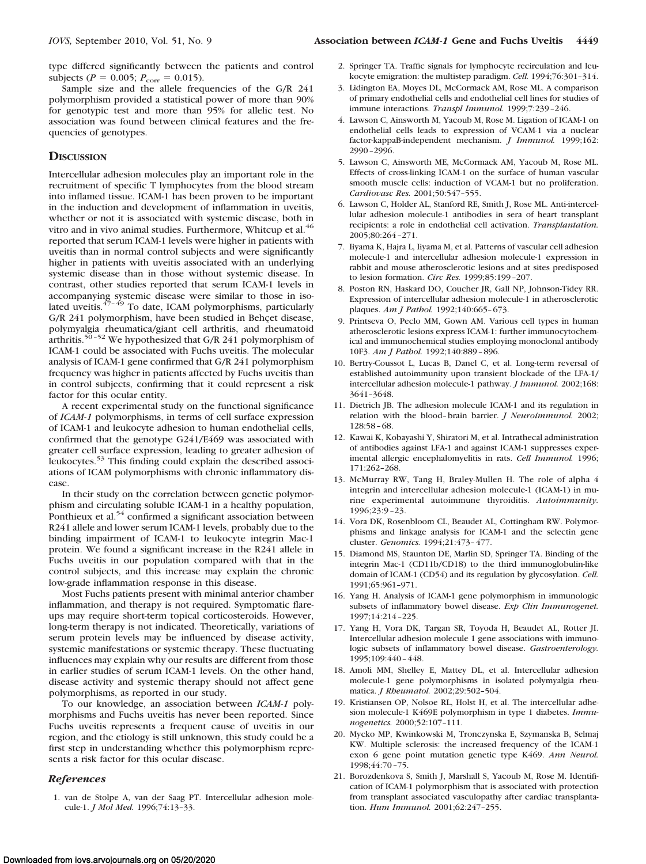type differed significantly between the patients and control subjects ( $P = 0.005$ ;  $P_{corr} = 0.015$ ).

Sample size and the allele frequencies of the G/R 241 polymorphism provided a statistical power of more than 90% for genotypic test and more than 95% for allelic test. No association was found between clinical features and the frequencies of genotypes.

### **DISCUSSION**

Intercellular adhesion molecules play an important role in the recruitment of specific T lymphocytes from the blood stream into inflamed tissue. ICAM-1 has been proven to be important in the induction and development of inflammation in uveitis, whether or not it is associated with systemic disease, both in vitro and in vivo animal studies. Furthermore, Whitcup et al.<sup>46</sup> reported that serum ICAM-1 levels were higher in patients with uveitis than in normal control subjects and were significantly higher in patients with uveitis associated with an underlying systemic disease than in those without systemic disease. In contrast, other studies reported that serum ICAM-1 levels in accompanying systemic disease were similar to those in isolated uveitis. $47 - 49$  To date, ICAM polymorphisms, particularly G/R 241 polymorphism, have been studied in Behçet disease, polymyalgia rheumatica/giant cell arthritis, and rheumatoid arthritis.<sup>50-52</sup> We hypothesized that G/R 241 polymorphism of ICAM-1 could be associated with Fuchs uveitis. The molecular analysis of ICAM-1 gene confirmed that G/R 241 polymorphism frequency was higher in patients affected by Fuchs uveitis than in control subjects, confirming that it could represent a risk factor for this ocular entity.

A recent experimental study on the functional significance of *ICAM-1* polymorphisms, in terms of cell surface expression of ICAM-1 and leukocyte adhesion to human endothelial cells, confirmed that the genotype G241/E469 was associated with greater cell surface expression, leading to greater adhesion of leukocytes.53 This finding could explain the described associations of ICAM polymorphisms with chronic inflammatory disease.

In their study on the correlation between genetic polymorphism and circulating soluble ICAM-1 in a healthy population, Ponthieux et al.<sup>54</sup> confirmed a significant association between R241 allele and lower serum ICAM-1 levels, probably due to the binding impairment of ICAM-1 to leukocyte integrin Mac-1 protein. We found a significant increase in the R241 allele in Fuchs uveitis in our population compared with that in the control subjects, and this increase may explain the chronic low-grade inflammation response in this disease.

Most Fuchs patients present with minimal anterior chamber inflammation, and therapy is not required. Symptomatic flareups may require short-term topical corticosteroids. However, long-term therapy is not indicated. Theoretically, variations of serum protein levels may be influenced by disease activity, systemic manifestations or systemic therapy. These fluctuating influences may explain why our results are different from those in earlier studies of serum ICAM-1 levels. On the other hand, disease activity and systemic therapy should not affect gene polymorphisms, as reported in our study.

To our knowledge, an association between *ICAM-1* polymorphisms and Fuchs uveitis has never been reported. Since Fuchs uveitis represents a frequent cause of uveitis in our region, and the etiology is still unknown, this study could be a first step in understanding whether this polymorphism represents a risk factor for this ocular disease.

#### *References*

1. van de Stolpe A, van der Saag PT. Intercellular adhesion molecule-1. *J Mol Med.* 1996;74:13–33.

- 2. Springer TA. Traffic signals for lymphocyte recirculation and leukocyte emigration: the multistep paradigm. *Cell.* 1994;76:301–314.
- 3. Lidington EA, Moyes DL, McCormack AM, Rose ML. A comparison of primary endothelial cells and endothelial cell lines for studies of immune interactions. *Transpl Immunol.* 1999;7:239 –246.
- 4. Lawson C, Ainsworth M, Yacoub M, Rose M. Ligation of ICAM-1 on endothelial cells leads to expression of VCAM-1 via a nuclear factor-kappaB-independent mechanism. *J Immunol.* 1999;162: 2990 –2996.
- 5. Lawson C, Ainsworth ME, McCormack AM, Yacoub M, Rose ML. Effects of cross-linking ICAM-1 on the surface of human vascular smooth muscle cells: induction of VCAM-1 but no proliferation. *Cardiovasc Res.* 2001;50:547–555.
- 6. Lawson C, Holder AL, Stanford RE, Smith J, Rose ML. Anti-intercellular adhesion molecule-1 antibodies in sera of heart transplant recipients: a role in endothelial cell activation. *Transplantation.* 2005;80:264 –271.
- 7. Iiyama K, Hajra L, Iiyama M, et al. Patterns of vascular cell adhesion molecule-1 and intercellular adhesion molecule-1 expression in rabbit and mouse atherosclerotic lesions and at sites predisposed to lesion formation. *Circ Res.* 1999;85:199 –207.
- 8. Poston RN, Haskard DO, Coucher JR, Gall NP, Johnson-Tidey RR. Expression of intercellular adhesion molecule-1 in atherosclerotic plaques. *Am J Pathol.* 1992;140:665– 673.
- 9. Printseva O, Peclo MM, Gown AM. Various cell types in human atherosclerotic lesions express ICAM-1: further immunocytochemical and immunochemical studies employing monoclonal antibody 10F3. *Am J Pathol.* 1992;140:889 – 896.
- 10. Bertry-Coussot L, Lucas B, Danel C, et al. Long-term reversal of established autoimmunity upon transient blockade of the LFA-1/ intercellular adhesion molecule-1 pathway. *J Immunol.* 2002;168: 3641–3648.
- 11. Dietrich JB. The adhesion molecule ICAM-1 and its regulation in relation with the blood– brain barrier. *J Neuroimmunol.* 2002; 128:58 – 68.
- 12. Kawai K, Kobayashi Y, Shiratori M, et al. Intrathecal administration of antibodies against LFA-1 and against ICAM-1 suppresses experimental allergic encephalomyelitis in rats. *Cell Immunol.* 1996; 171:262–268.
- 13. McMurray RW, Tang H, Braley-Mullen H. The role of alpha 4 integrin and intercellular adhesion molecule-1 (ICAM-1) in murine experimental autoimmune thyroiditis. *Autoimmunity.* 1996;23:9 –23.
- 14. Vora DK, Rosenbloom CL, Beaudet AL, Cottingham RW. Polymorphisms and linkage analysis for ICAM-1 and the selectin gene cluster. *Genomics.* 1994;21:473– 477.
- 15. Diamond MS, Staunton DE, Marlin SD, Springer TA. Binding of the integrin Mac-1 (CD11b/CD18) to the third immunoglobulin-like domain of ICAM-1 (CD54) and its regulation by glycosylation. *Cell.* 1991;65:961–971.
- 16. Yang H. Analysis of ICAM-1 gene polymorphism in immunologic subsets of inflammatory bowel disease. *Exp Clin Immunogenet.* 1997;14:214 –225.
- 17. Yang H, Vora DK, Targan SR, Toyoda H, Beaudet AL, Rotter JI. Intercellular adhesion molecule 1 gene associations with immunologic subsets of inflammatory bowel disease. *Gastroenterology.* 1995;109:440 – 448.
- 18. Amoli MM, Shelley E, Mattey DL, et al. Intercellular adhesion molecule-1 gene polymorphisms in isolated polymyalgia rheumatica. *J Rheumatol.* 2002;29:502–504.
- 19. Kristiansen OP, Nolsoe RL, Holst H, et al. The intercellular adhesion molecule-1 K469E polymorphism in type 1 diabetes. *Immunogenetics.* 2000;52:107–111.
- 20. Mycko MP, Kwinkowski M, Tronczynska E, Szymanska B, Selmaj KW. Multiple sclerosis: the increased frequency of the ICAM-1 exon 6 gene point mutation genetic type K469. *Ann Neurol.* 1998;44:70 –75.
- 21. Borozdenkova S, Smith J, Marshall S, Yacoub M, Rose M. Identification of ICAM-1 polymorphism that is associated with protection from transplant associated vasculopathy after cardiac transplantation. *Hum Immunol.* 2001;62:247–255.